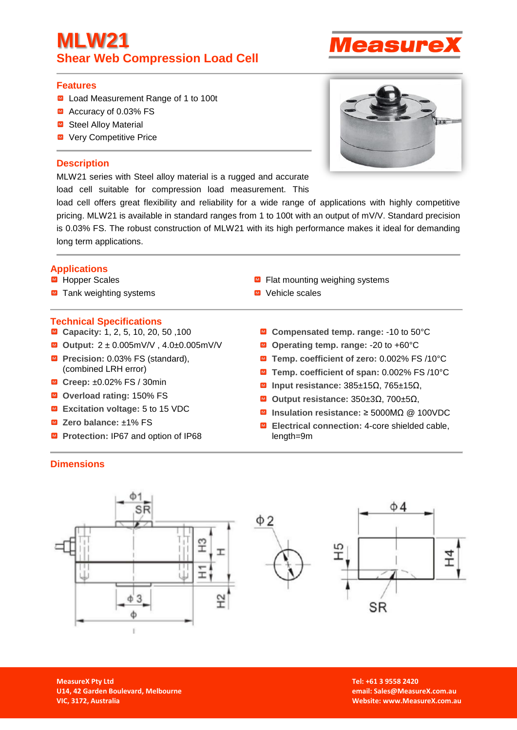## **MLW21 Shear Web Compression Load Cell**

## **Features**

- Load Measurement Range of 1 to 100t
- Accuracy of 0.03% FS
- Steel Alloy Material
- Very Competitive Price

## **Description**

MLW21 series with Steel alloy material is a rugged and accurate load cell suitable for compression load measurement. This

load cell offers great flexibility and reliability for a wide range of applications with highly competitive pricing. MLW21 is available in standard ranges from 1 to 100t with an output of mV/V. Standard precision is 0.03% FS. The robust construction of MLW21 with its high performance makes it ideal for demanding long term applications.

## **Applications**

- Hopper Scales
- $\blacksquare$  Tank weighting systems

#### **Technical Specifications**

- Capacity: 1, 2, 5, 10, 20, 50, 100
- **Output:** 2 ± 0.005mV/V , 4.0±0.005mV/V
- **Precision: 0.03% FS (standard),** (combined LRH error)
- **Creep:** ±0.02% FS / 30min
- **Overload rating:** 150% FS
- **Excitation voltage:** 5 to 15 VDC
- **Zero balance:** ±1% FS
- **Protection: IP67 and option of IP68**
- $\blacksquare$  Flat mounting weighing systems
- Vehicle scales
	- **Compensated temp. range:** -10 to 50°C
	- **Operating temp. range:** -20 to +60°C
	- **Temp. coefficient of zero:** 0.002% FS /10°C
	- **Temp. coefficient of span:** 0.002% FS /10°C
	- **Input resistance:** 385±15Ω, 765±15Ω,
	- **Output resistance:** 350±3Ω, 700±5Ω,
	- **Insulation resistance:** ≥ 5000MΩ @ 100VDC
	- **Electrical connection:** 4-core shielded cable, length=9m

#### **Dimensions**





**Tel: +61 3 9558 2420 email: Sales@MeasureX.com.au Website: [www.MeasureX.com.au](http://www.measurex.com.au/)**